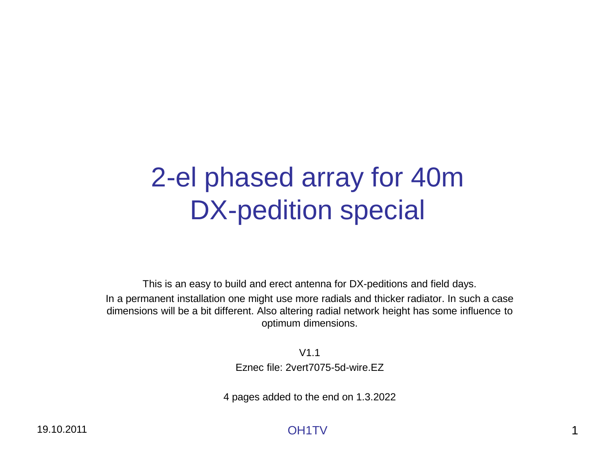# 2-el phased array for 40m DX-pedition special

This is an easy to build and erect antenna for DX-peditions and field days. In a permanent installation one might use more radials and thicker radiator. In such a case dimensions will be a bit different. Also altering radial network height has some influence to optimum dimensions.

> V1.1 Eznec file: 2vert7075-5d-wire.EZ

4 pages added to the end on 1.3.2022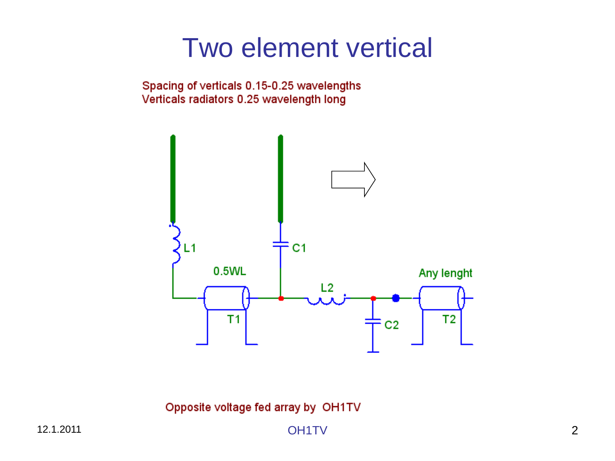## Two element vertical

Spacing of verticals 0.15-0.25 wavelengths Verticals radiators 0.25 wavelength long



Opposite voltage fed array by OH1TV

12.1.2011 OH1TV 2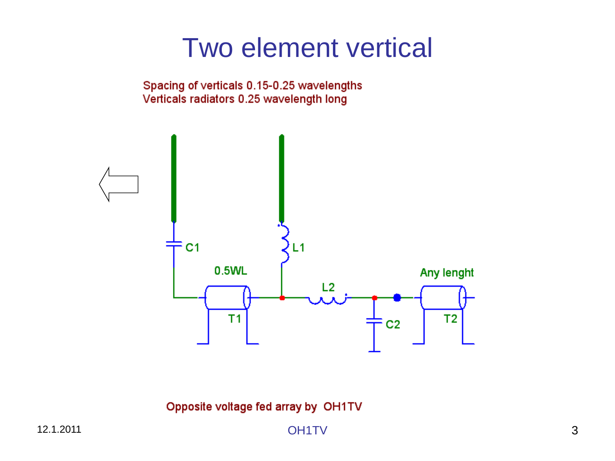## Two element vertical

Spacing of verticals 0.15-0.25 wavelengths Verticals radiators 0.25 wavelength long



Opposite voltage fed array by OH1TV

**OH1TV**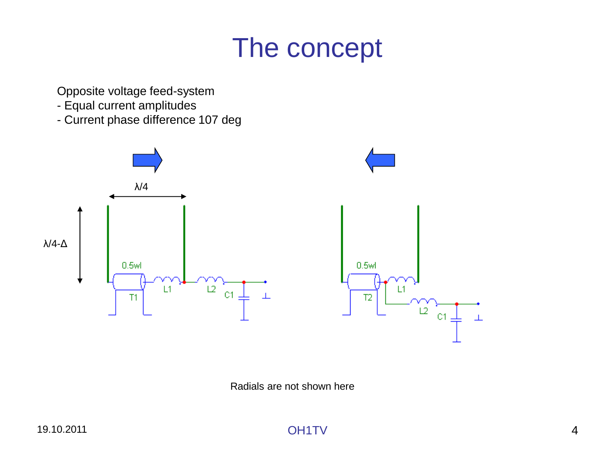## The concept

Opposite voltage feed-system

- Equal current amplitudes
- Current phase difference 107 deg



Radials are not shown here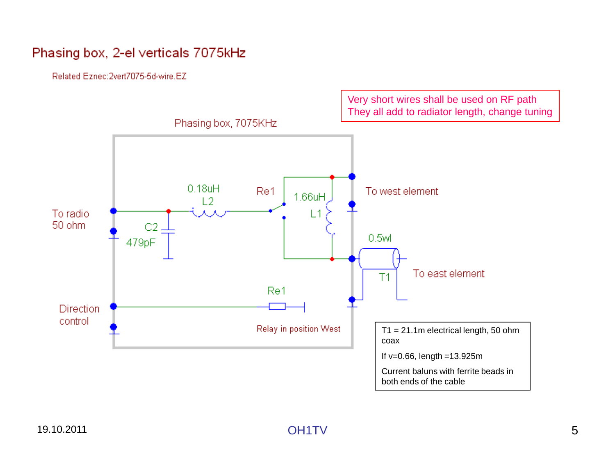#### Phasing box, 2-el verticals 7075kHz

Related Eznec: 2vert7075-5d-wire.EZ

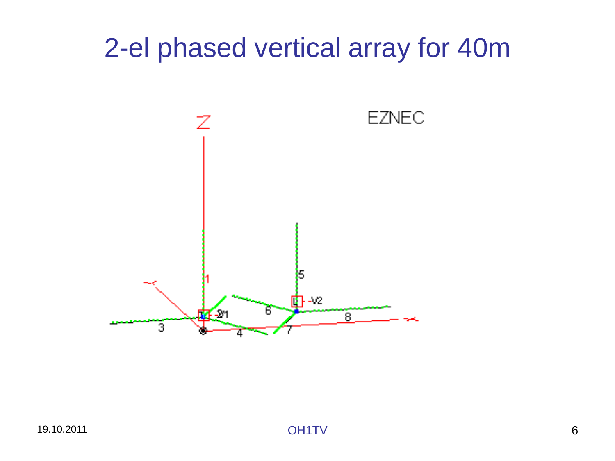## 2-el phased vertical array for 40m

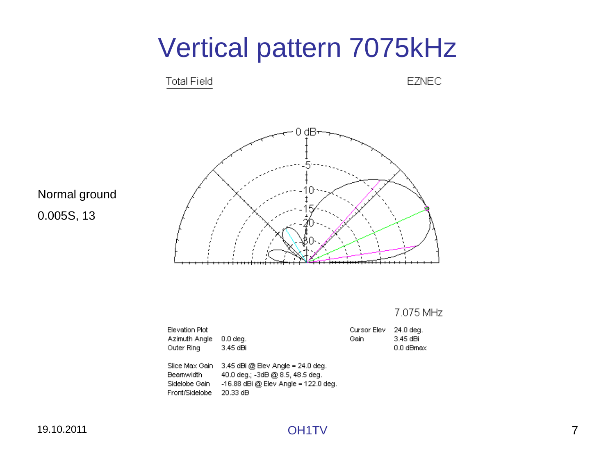

#### Normal ground 0.005S, 13

| 19.10.2011 |              |
|------------|--------------|
|            | <b>OH1TV</b> |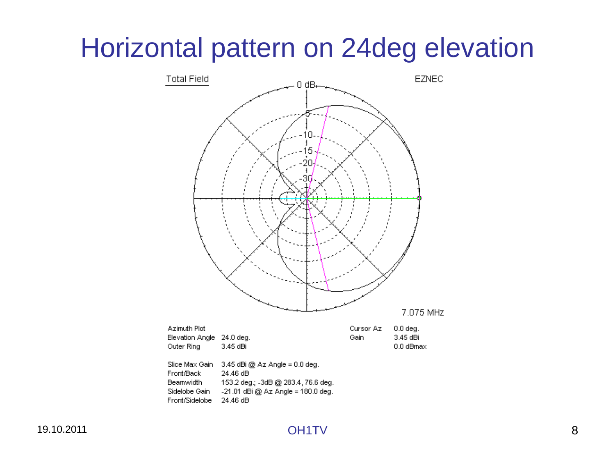## Horizontal pattern on 24deg elevation

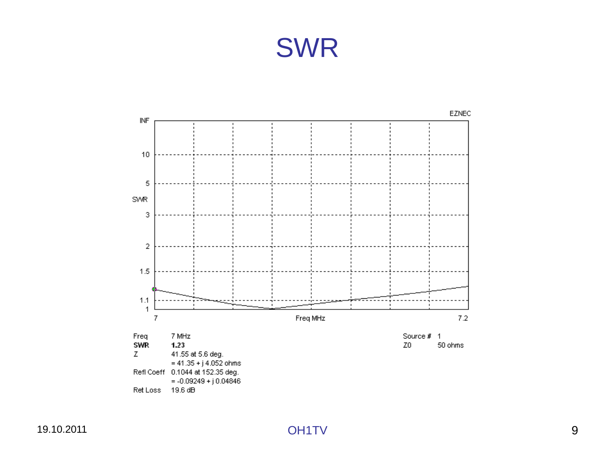## SWR

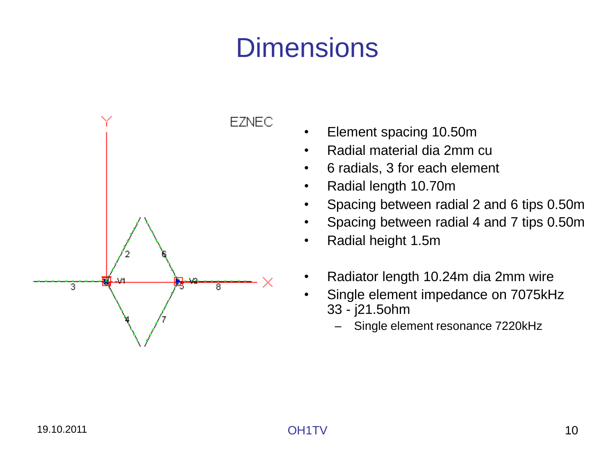## **Dimensions**



• Element spacing 10.50m

- Radial material dia 2mm cu
- 6 radials, 3 for each element
- Radial length 10.70m
- Spacing between radial 2 and 6 tips 0.50m
- Spacing between radial 4 and 7 tips 0.50m
- Radial height 1.5m
- Radiator length 10.24m dia 2mm wire
- Single element impedance on 7075kHz 33 - j21.5ohm
	- Single element resonance 7220kHz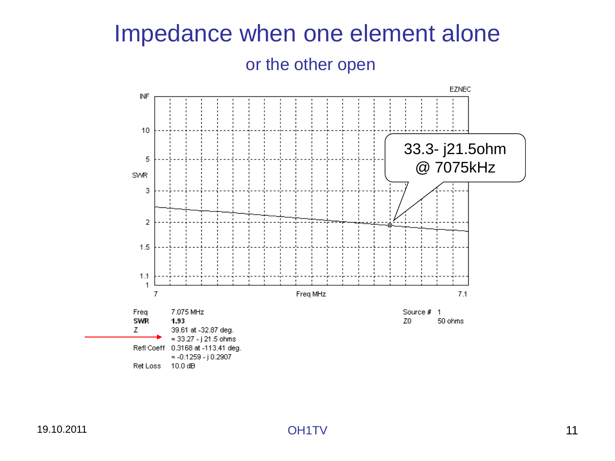#### Impedance when one element alone

#### or the other open

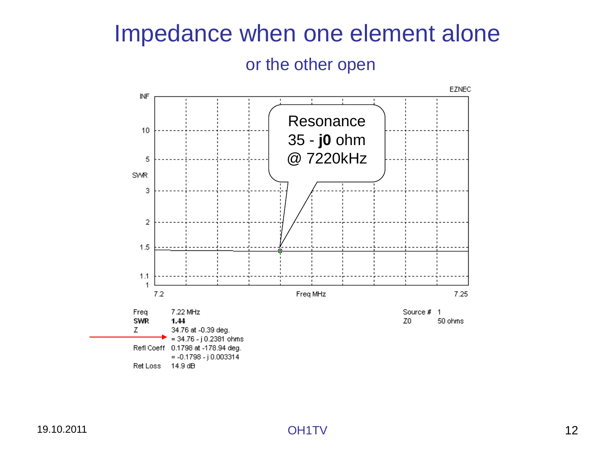#### Impedance when one element alone

#### or the other open

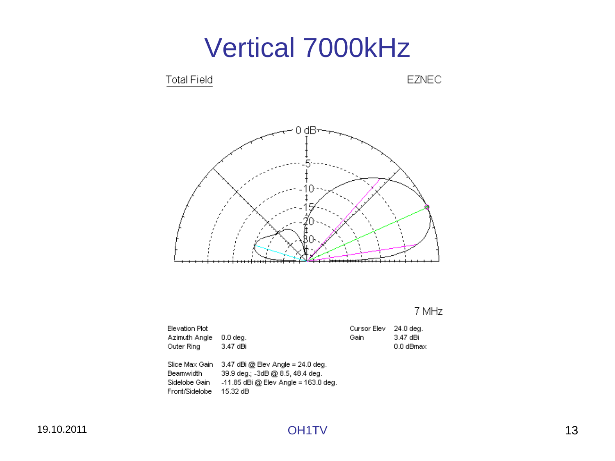

| Elevation Plot<br>Azimuth Angle<br>Outer Ring                   | $0.0$ dea.<br>3.47 dBi                                                                                                        | Cursor Elev<br>Gain | 24.0 deg.<br>3.47 dBi<br>0.0 dBmax |
|-----------------------------------------------------------------|-------------------------------------------------------------------------------------------------------------------------------|---------------------|------------------------------------|
| Slice Max Gain<br>Beamwidth.<br>Sidelobe Gain<br>Front/Sidelobe | $3.47$ dBi @ Elev Angle = 24.0 deg.<br>39.9 deg.; -3dB @ 8.5, 48.4 deg.<br>$-11.85$ dBi @ Elev Angle = 163.0 deg.<br>15.32 dB |                     |                                    |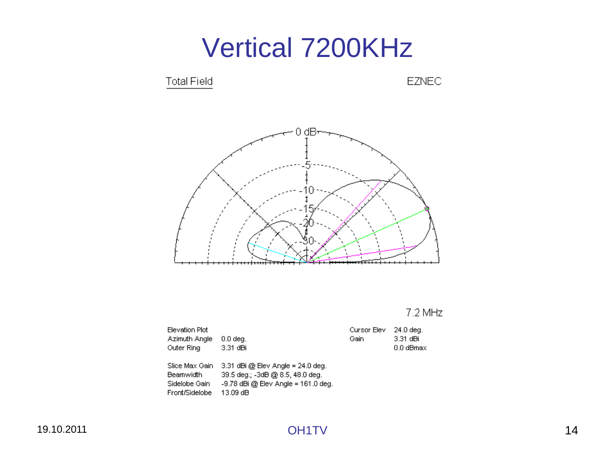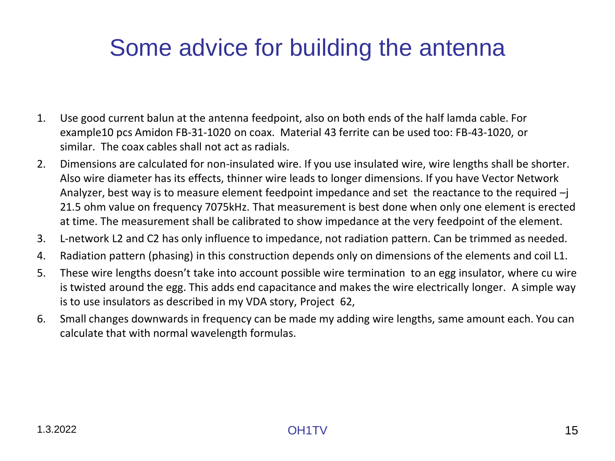#### Some advice for building the antenna

- 1. Use good current balun at the antenna feedpoint, also on both ends of the half lamda cable. For example10 pcs Amidon FB-31-1020 on coax. Material 43 ferrite can be used too: FB-43-1020, or similar. The coax cables shall not act as radials.
- 2. Dimensions are calculated for non-insulated wire. If you use insulated wire, wire lengths shall be shorter. Also wire diameter has its effects, thinner wire leads to longer dimensions. If you have Vector Network Analyzer, best way is to measure element feedpoint impedance and set the reactance to the required –j 21.5 ohm value on frequency 7075kHz. That measurement is best done when only one element is erected at time. The measurement shall be calibrated to show impedance at the very feedpoint of the element.
- 3. L-network L2 and C2 has only influence to impedance, not radiation pattern. Can be trimmed as needed.
- 4. Radiation pattern (phasing) in this construction depends only on dimensions of the elements and coil L1.
- 5. These wire lengths doesn't take into account possible wire termination to an egg insulator, where cu wire is twisted around the egg. This adds end capacitance and makes the wire electrically longer. A simple way is to use insulators as described in my VDA story, Project 62,
- 6. Small changes downwards in frequency can be made my adding wire lengths, same amount each. You can calculate that with normal wavelength formulas.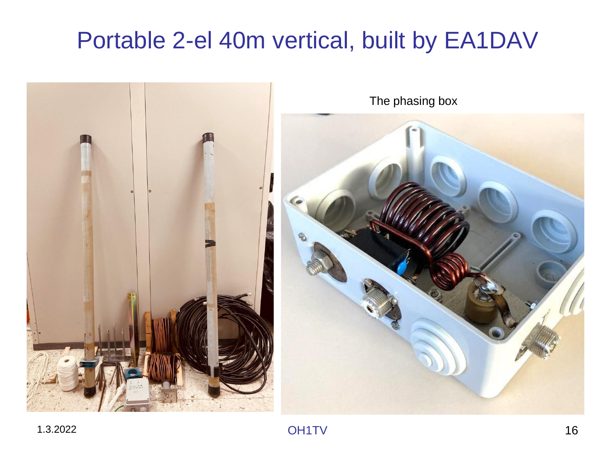### Portable 2-el 40m vertical, built by EA1DAV

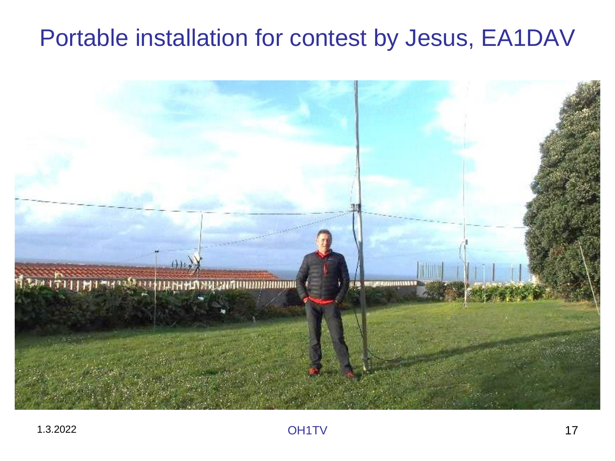#### Portable installation for contest by Jesus, EA1DAV